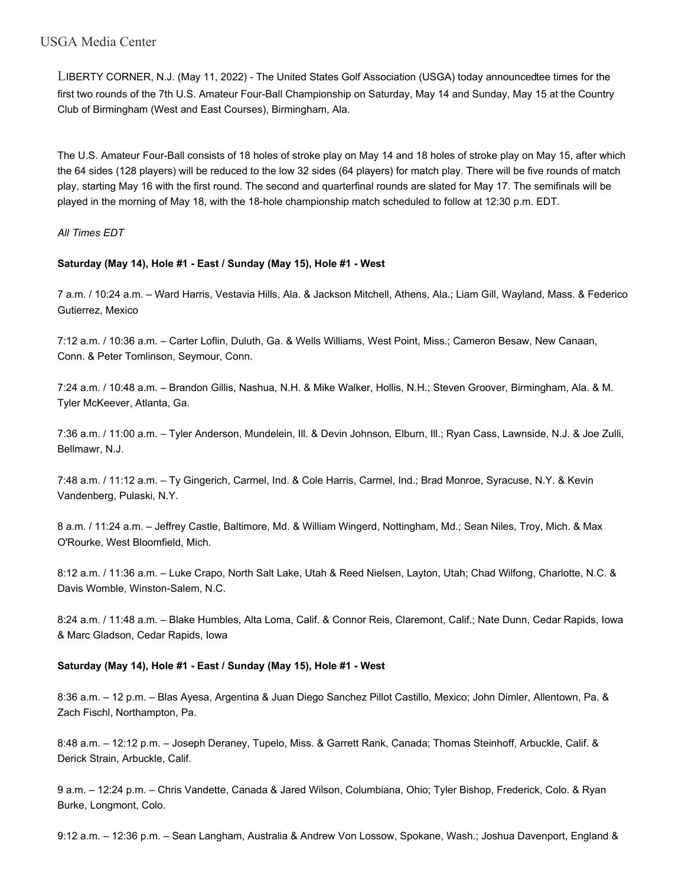LIBERTY CORNER, N.J. (May 11, 2022) - The United States Golf Association (USGA) today announcedtee times for the first two rounds of the 7th U.S. Amateur Four-Ball Championship on Saturday, May 14 and Sunday, May 15 at the Country Club of Birmingham (West and East Courses), Birmingham, Ala.

The U.S. Amateur Four-Ball consists of 18 holes of stroke play on May 14 and 18 holes of stroke play on May 15, after which the 64 sides (128 players) will be reduced to the low 32 sides (64 players) for match play. There will be five rounds of match play, starting May 16 with the first round. The second and quarterfinal rounds are slated for May 17. The semifinals will be played in the morning of May 18, with the 18-hole championship match scheduled to follow at 12:30 p.m. EDT.

*All Times EDT*

# **Saturday (May 14), Hole #1 - East / Sunday (May 15), Hole #1 - West**

7 a.m. / 10:24 a.m. – Ward Harris, Vestavia Hills, Ala. & Jackson Mitchell, Athens, Ala.; Liam Gill, Wayland, Mass. & Federico Gutierrez, Mexico

7:12 a.m. / 10:36 a.m. – Carter Loflin, Duluth, Ga. & Wells Williams, West Point, Miss.; Cameron Besaw, New Canaan, Conn. & Peter Tomlinson, Seymour, Conn.

7:24 a.m. / 10:48 a.m. – Brandon Gillis, Nashua, N.H. & Mike Walker, Hollis, N.H.; Steven Groover, Birmingham, Ala. & M. Tyler McKeever, Atlanta, Ga.

7:36 a.m. / 11:00 a.m. – Tyler Anderson, Mundelein, Ill. & Devin Johnson, Elburn, Ill.; Ryan Cass, Lawnside, N.J. & Joe Zulli, Bellmawr, N.J.

7:48 a.m. / 11:12 a.m. – Ty Gingerich, Carmel, Ind. & Cole Harris, Carmel, Ind.; Brad Monroe, Syracuse, N.Y. & Kevin Vandenberg, Pulaski, N.Y.

8 a.m. / 11:24 a.m. – Jeffrey Castle, Baltimore, Md. & William Wingerd, Nottingham, Md.; Sean Niles, Troy, Mich. & Max O'Rourke, West Bloomfield, Mich.

8:12 a.m. / 11:36 a.m. – Luke Crapo, North Salt Lake, Utah & Reed Nielsen, Layton, Utah; Chad Wilfong, Charlotte, N.C. & Davis Womble, Winston-Salem, N.C.

8:24 a.m. / 11:48 a.m. – Blake Humbles, Alta Loma, Calif. & Connor Reis, Claremont, Calif.; Nate Dunn, Cedar Rapids, Iowa & Marc Gladson, Cedar Rapids, Iowa

## **Saturday (May 14), Hole #1 - East / Sunday (May 15), Hole #1 - West**

8:36 a.m. – 12 p.m. – Blas Ayesa, Argentina & Juan Diego Sanchez Pillot Castillo, Mexico; John Dimler, Allentown, Pa. & Zach Fischl, Northampton, Pa.

8:48 a.m. – 12:12 p.m. – Joseph Deraney, Tupelo, Miss. & Garrett Rank, Canada; Thomas Steinhoff, Arbuckle, Calif. & Derick Strain, Arbuckle, Calif.

9 a.m. – 12:24 p.m. – Chris Vandette, Canada & Jared Wilson, Columbiana, Ohio; Tyler Bishop, Frederick, Colo. & Ryan Burke, Longmont, Colo.

9:12 a.m. – 12:36 p.m. – Sean Langham, Australia & Andrew Von Lossow, Spokane, Wash.; Joshua Davenport, England &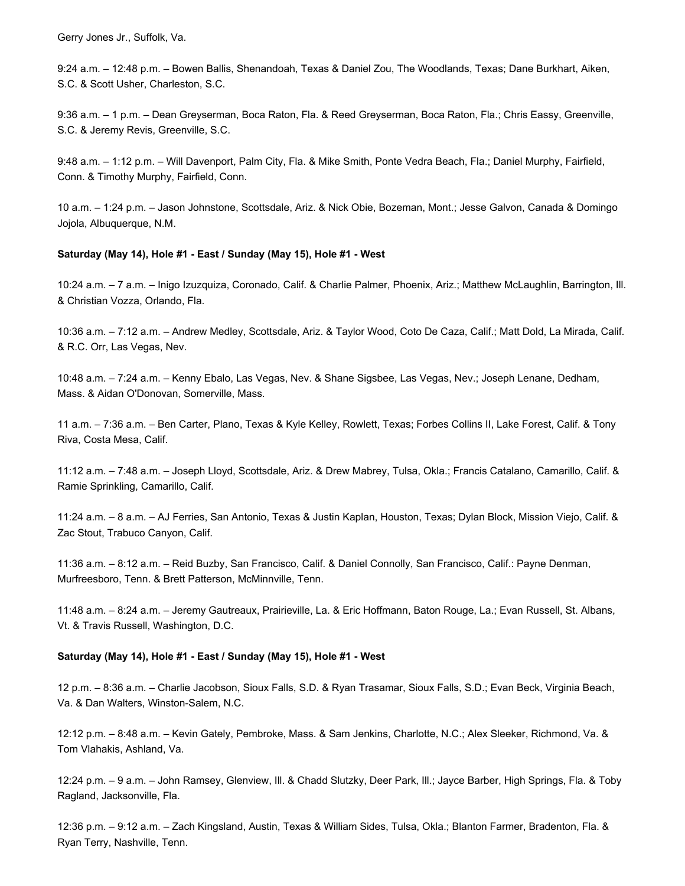Gerry Jones Jr., Suffolk, Va.

9:24 a.m. – 12:48 p.m. – Bowen Ballis, Shenandoah, Texas & Daniel Zou, The Woodlands, Texas; Dane Burkhart, Aiken, S.C. & Scott Usher, Charleston, S.C.

9:36 a.m. – 1 p.m. – Dean Greyserman, Boca Raton, Fla. & Reed Greyserman, Boca Raton, Fla.; Chris Eassy, Greenville, S.C. & Jeremy Revis, Greenville, S.C.

9:48 a.m. – 1:12 p.m. – Will Davenport, Palm City, Fla. & Mike Smith, Ponte Vedra Beach, Fla.; Daniel Murphy, Fairfield, Conn. & Timothy Murphy, Fairfield, Conn.

10 a.m. – 1:24 p.m. – Jason Johnstone, Scottsdale, Ariz. & Nick Obie, Bozeman, Mont.; Jesse Galvon, Canada & Domingo Jojola, Albuquerque, N.M.

#### **Saturday (May 14), Hole #1 - East / Sunday (May 15), Hole #1 - West**

10:24 a.m. – 7 a.m. – Inigo Izuzquiza, Coronado, Calif. & Charlie Palmer, Phoenix, Ariz.; Matthew McLaughlin, Barrington, Ill. & Christian Vozza, Orlando, Fla.

10:36 a.m. – 7:12 a.m. – Andrew Medley, Scottsdale, Ariz. & Taylor Wood, Coto De Caza, Calif.; Matt Dold, La Mirada, Calif. & R.C. Orr, Las Vegas, Nev.

10:48 a.m. – 7:24 a.m. – Kenny Ebalo, Las Vegas, Nev. & Shane Sigsbee, Las Vegas, Nev.; Joseph Lenane, Dedham, Mass. & Aidan O'Donovan, Somerville, Mass.

11 a.m. – 7:36 a.m. – Ben Carter, Plano, Texas & Kyle Kelley, Rowlett, Texas; Forbes Collins II, Lake Forest, Calif. & Tony Riva, Costa Mesa, Calif.

11:12 a.m. – 7:48 a.m. – Joseph Lloyd, Scottsdale, Ariz. & Drew Mabrey, Tulsa, Okla.; Francis Catalano, Camarillo, Calif. & Ramie Sprinkling, Camarillo, Calif.

11:24 a.m. – 8 a.m. – AJ Ferries, San Antonio, Texas & Justin Kaplan, Houston, Texas; Dylan Block, Mission Viejo, Calif. & Zac Stout, Trabuco Canyon, Calif.

11:36 a.m. – 8:12 a.m. – Reid Buzby, San Francisco, Calif. & Daniel Connolly, San Francisco, Calif.: Payne Denman, Murfreesboro, Tenn. & Brett Patterson, McMinnville, Tenn.

11:48 a.m. – 8:24 a.m. – Jeremy Gautreaux, Prairieville, La. & Eric Hoffmann, Baton Rouge, La.; Evan Russell, St. Albans, Vt. & Travis Russell, Washington, D.C.

#### **Saturday (May 14), Hole #1 - East / Sunday (May 15), Hole #1 - West**

12 p.m. – 8:36 a.m. – Charlie Jacobson, Sioux Falls, S.D. & Ryan Trasamar, Sioux Falls, S.D.; Evan Beck, Virginia Beach, Va. & Dan Walters, Winston-Salem, N.C.

12:12 p.m. – 8:48 a.m. – Kevin Gately, Pembroke, Mass. & Sam Jenkins, Charlotte, N.C.; Alex Sleeker, Richmond, Va. & Tom Vlahakis, Ashland, Va.

12:24 p.m. – 9 a.m. – John Ramsey, Glenview, Ill. & Chadd Slutzky, Deer Park, Ill.; Jayce Barber, High Springs, Fla. & Toby Ragland, Jacksonville, Fla.

12:36 p.m. – 9:12 a.m. – Zach Kingsland, Austin, Texas & William Sides, Tulsa, Okla.; Blanton Farmer, Bradenton, Fla. & Ryan Terry, Nashville, Tenn.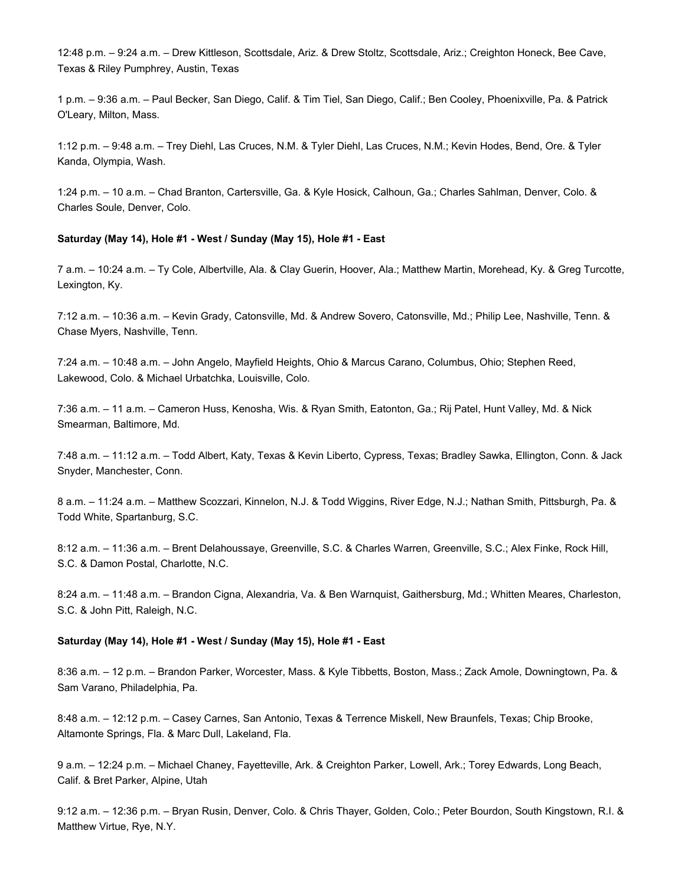12:48 p.m. – 9:24 a.m. – Drew Kittleson, Scottsdale, Ariz. & Drew Stoltz, Scottsdale, Ariz.; Creighton Honeck, Bee Cave, Texas & Riley Pumphrey, Austin, Texas

1 p.m. – 9:36 a.m. – Paul Becker, San Diego, Calif. & Tim Tiel, San Diego, Calif.; Ben Cooley, Phoenixville, Pa. & Patrick O'Leary, Milton, Mass.

1:12 p.m. – 9:48 a.m. – Trey Diehl, Las Cruces, N.M. & Tyler Diehl, Las Cruces, N.M.; Kevin Hodes, Bend, Ore. & Tyler Kanda, Olympia, Wash.

1:24 p.m. – 10 a.m. – Chad Branton, Cartersville, Ga. & Kyle Hosick, Calhoun, Ga.; Charles Sahlman, Denver, Colo. & Charles Soule, Denver, Colo.

#### **Saturday (May 14), Hole #1 - West / Sunday (May 15), Hole #1 - East**

7 a.m. – 10:24 a.m. – Ty Cole, Albertville, Ala. & Clay Guerin, Hoover, Ala.; Matthew Martin, Morehead, Ky. & Greg Turcotte, Lexington, Ky.

7:12 a.m. – 10:36 a.m. – Kevin Grady, Catonsville, Md. & Andrew Sovero, Catonsville, Md.; Philip Lee, Nashville, Tenn. & Chase Myers, Nashville, Tenn.

7:24 a.m. – 10:48 a.m. – John Angelo, Mayfield Heights, Ohio & Marcus Carano, Columbus, Ohio; Stephen Reed, Lakewood, Colo. & Michael Urbatchka, Louisville, Colo.

7:36 a.m. – 11 a.m. – Cameron Huss, Kenosha, Wis. & Ryan Smith, Eatonton, Ga.; Rij Patel, Hunt Valley, Md. & Nick Smearman, Baltimore, Md.

7:48 a.m. – 11:12 a.m. – Todd Albert, Katy, Texas & Kevin Liberto, Cypress, Texas; Bradley Sawka, Ellington, Conn. & Jack Snyder, Manchester, Conn.

8 a.m. – 11:24 a.m. – Matthew Scozzari, Kinnelon, N.J. & Todd Wiggins, River Edge, N.J.; Nathan Smith, Pittsburgh, Pa. & Todd White, Spartanburg, S.C.

8:12 a.m. – 11:36 a.m. – Brent Delahoussaye, Greenville, S.C. & Charles Warren, Greenville, S.C.; Alex Finke, Rock Hill, S.C. & Damon Postal, Charlotte, N.C.

8:24 a.m. – 11:48 a.m. – Brandon Cigna, Alexandria, Va. & Ben Warnquist, Gaithersburg, Md.; Whitten Meares, Charleston, S.C. & John Pitt, Raleigh, N.C.

#### **Saturday (May 14), Hole #1 - West / Sunday (May 15), Hole #1 - East**

8:36 a.m. – 12 p.m. – Brandon Parker, Worcester, Mass. & Kyle Tibbetts, Boston, Mass.; Zack Amole, Downingtown, Pa. & Sam Varano, Philadelphia, Pa.

8:48 a.m. – 12:12 p.m. – Casey Carnes, San Antonio, Texas & Terrence Miskell, New Braunfels, Texas; Chip Brooke, Altamonte Springs, Fla. & Marc Dull, Lakeland, Fla.

9 a.m. – 12:24 p.m. – Michael Chaney, Fayetteville, Ark. & Creighton Parker, Lowell, Ark.; Torey Edwards, Long Beach, Calif. & Bret Parker, Alpine, Utah

9:12 a.m. – 12:36 p.m. – Bryan Rusin, Denver, Colo. & Chris Thayer, Golden, Colo.; Peter Bourdon, South Kingstown, R.I. & Matthew Virtue, Rye, N.Y.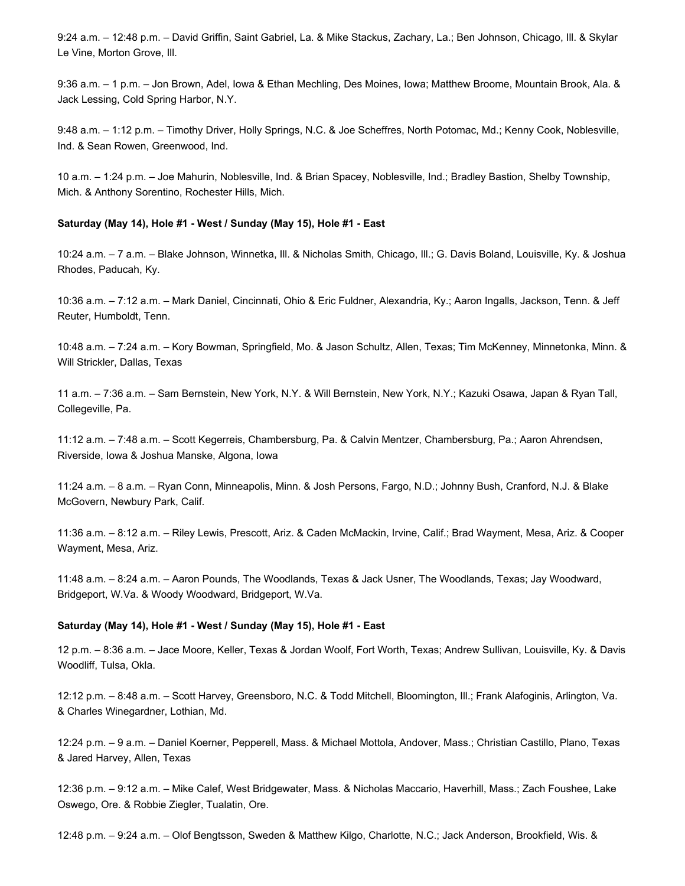9:24 a.m. – 12:48 p.m. – David Griffin, Saint Gabriel, La. & Mike Stackus, Zachary, La.; Ben Johnson, Chicago, Ill. & Skylar Le Vine, Morton Grove, Ill.

9:36 a.m. – 1 p.m. – Jon Brown, Adel, Iowa & Ethan Mechling, Des Moines, Iowa; Matthew Broome, Mountain Brook, Ala. & Jack Lessing, Cold Spring Harbor, N.Y.

9:48 a.m. – 1:12 p.m. – Timothy Driver, Holly Springs, N.C. & Joe Scheffres, North Potomac, Md.; Kenny Cook, Noblesville, Ind. & Sean Rowen, Greenwood, Ind.

10 a.m. – 1:24 p.m. – Joe Mahurin, Noblesville, Ind. & Brian Spacey, Noblesville, Ind.; Bradley Bastion, Shelby Township, Mich. & Anthony Sorentino, Rochester Hills, Mich.

#### **Saturday (May 14), Hole #1 - West / Sunday (May 15), Hole #1 - East**

10:24 a.m. – 7 a.m. – Blake Johnson, Winnetka, Ill. & Nicholas Smith, Chicago, Ill.; G. Davis Boland, Louisville, Ky. & Joshua Rhodes, Paducah, Ky.

10:36 a.m. – 7:12 a.m. – Mark Daniel, Cincinnati, Ohio & Eric Fuldner, Alexandria, Ky.; Aaron Ingalls, Jackson, Tenn. & Jeff Reuter, Humboldt, Tenn.

10:48 a.m. – 7:24 a.m. – Kory Bowman, Springfield, Mo. & Jason Schultz, Allen, Texas; Tim McKenney, Minnetonka, Minn. & Will Strickler, Dallas, Texas

11 a.m. – 7:36 a.m. – Sam Bernstein, New York, N.Y. & Will Bernstein, New York, N.Y.; Kazuki Osawa, Japan & Ryan Tall, Collegeville, Pa.

11:12 a.m. – 7:48 a.m. – Scott Kegerreis, Chambersburg, Pa. & Calvin Mentzer, Chambersburg, Pa.; Aaron Ahrendsen, Riverside, Iowa & Joshua Manske, Algona, Iowa

11:24 a.m. – 8 a.m. – Ryan Conn, Minneapolis, Minn. & Josh Persons, Fargo, N.D.; Johnny Bush, Cranford, N.J. & Blake McGovern, Newbury Park, Calif.

11:36 a.m. – 8:12 a.m. – Riley Lewis, Prescott, Ariz. & Caden McMackin, Irvine, Calif.; Brad Wayment, Mesa, Ariz. & Cooper Wayment, Mesa, Ariz.

11:48 a.m. – 8:24 a.m. – Aaron Pounds, The Woodlands, Texas & Jack Usner, The Woodlands, Texas; Jay Woodward, Bridgeport, W.Va. & Woody Woodward, Bridgeport, W.Va.

#### **Saturday (May 14), Hole #1 - West / Sunday (May 15), Hole #1 - East**

12 p.m. – 8:36 a.m. – Jace Moore, Keller, Texas & Jordan Woolf, Fort Worth, Texas; Andrew Sullivan, Louisville, Ky. & Davis Woodliff, Tulsa, Okla.

12:12 p.m. – 8:48 a.m. – Scott Harvey, Greensboro, N.C. & Todd Mitchell, Bloomington, Ill.; Frank Alafoginis, Arlington, Va. & Charles Winegardner, Lothian, Md.

12:24 p.m. – 9 a.m. – Daniel Koerner, Pepperell, Mass. & Michael Mottola, Andover, Mass.; Christian Castillo, Plano, Texas & Jared Harvey, Allen, Texas

12:36 p.m. – 9:12 a.m. – Mike Calef, West Bridgewater, Mass. & Nicholas Maccario, Haverhill, Mass.; Zach Foushee, Lake Oswego, Ore. & Robbie Ziegler, Tualatin, Ore.

12:48 p.m. – 9:24 a.m. – Olof Bengtsson, Sweden & Matthew Kilgo, Charlotte, N.C.; Jack Anderson, Brookfield, Wis. &